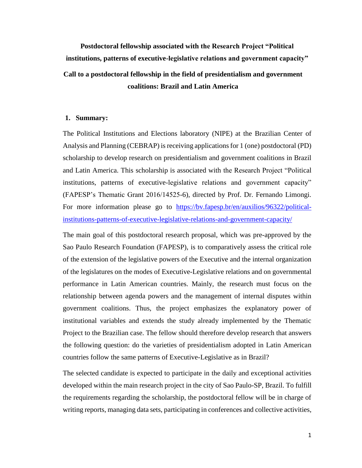**Postdoctoral fellowship associated with the Research Project "Political institutions, patterns of executive-legislative relations and government capacity" Call to a postdoctoral fellowship in the field of presidentialism and government coalitions: Brazil and Latin America**

## **1. [Summary:](http://www.fapesp.br/oportunidades/sobrevivencia_ministerial_na_politica_externa_do_cone_sul/2976/)**

The Political Institutions and Elections laboratory (NIPE) at the Brazilian Center of Analysis and Planning (CEBRAP) is receiving applications for 1 (one) postdoctoral (PD) scholarship to develop research on presidentialism and government coalitions in Brazil and Latin America. This scholarship is associated with the Research Project "Political institutions, patterns of executive-legislative relations and government capacity" (FAPESP's Thematic Grant 2016/14525-6), directed by Prof. Dr. Fernando Limongi. For more information please go to [https://bv.fapesp.br/en/auxilios/96322/political](https://bv.fapesp.br/en/auxilios/96322/political-institutions-patterns-of-executive-legislative-relations-and-government-capacity/)[institutions-patterns-of-executive-legislative-relations-and-government-capacity/](https://bv.fapesp.br/en/auxilios/96322/political-institutions-patterns-of-executive-legislative-relations-and-government-capacity/)

The main goal of this postdoctoral research proposal, which was pre-approved by the Sao Paulo Research Foundation (FAPESP), is to comparatively assess the critical role of the extension of the legislative powers of the Executive and the internal organization of the legislatures on the modes of Executive-Legislative relations and on governmental performance in Latin American countries. Mainly, the research must focus on the relationship between agenda powers and the management of internal disputes within government coalitions. Thus, the project emphasizes the explanatory power of institutional variables and extends the study already implemented by the Thematic Project to the Brazilian case. The fellow should therefore develop research that answers the following question: do the varieties of presidentialism adopted in Latin American countries follow the same patterns of Executive-Legislative as in Brazil?

The selected candidate is expected to participate in the daily and exceptional activities developed within the main research project in the city of Sao Paulo-SP, Brazil. To fulfill the requirements regarding the scholarship, the postdoctoral fellow will be in charge of writing reports, managing data sets, participating in conferences and collective activities,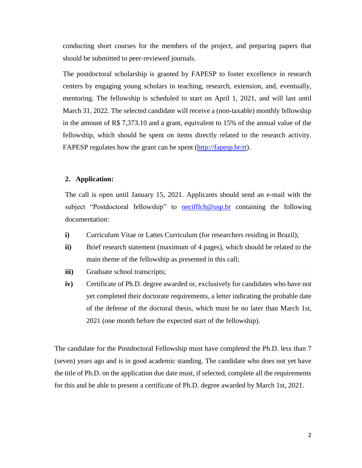conducting short courses for the members of the project, and preparing papers that should be submitted to peer-reviewed journals.

The postdoctoral scholarship is granted by FAPESP to foster excellence in research centers by engaging young scholars in teaching, research, extension, and, eventually, mentoring. The fellowship is scheduled to start on April 1, 2021, and will last until March 31, 2022. The selected candidate will receive a (non-taxable) monthly fellowship in the amount of R\$ 7,373.10 and a grant, equivalent to 15% of the annual value of the fellowship, which should be spent on items directly related to the research activity. FAPESP regulates how the grant can be spent [\(http://fapesp.br/rt\)](http://fapesp.br/rt).

## **2. Application:**

The call is open until January 15, 2021. Applicants should send an e-mail with the subject "Postdoctoral fellowship" to [necifflch@usp.br](mailto:necifflch@usp.br) containing the following documentation:

- **i)** Curriculum Vitae or Lattes Curriculum (for researchers residing in Brazil);
- **ii)** Brief research statement (maximum of 4 pages), which should be related to the main theme of the fellowship as presented in this call;
- **iii)** Graduate school transcripts;
- **iv)** Certificate of Ph.D. degree awarded or, exclusively for candidates who have not yet completed their doctorate requirements, a letter indicating the probable date of the defense of the doctoral thesis, which must be no later than March 1st, 2021 (one month before the expected start of the fellowship).

The candidate for the Postdoctoral Fellowship must have completed the Ph.D. less than 7 (seven) years ago and is in good academic standing. The candidate who does not yet have the title of Ph.D. on the application due date must, if selected, complete all the requirements for this and be able to present a certificate of Ph.D. degree awarded by March 1st, 2021.